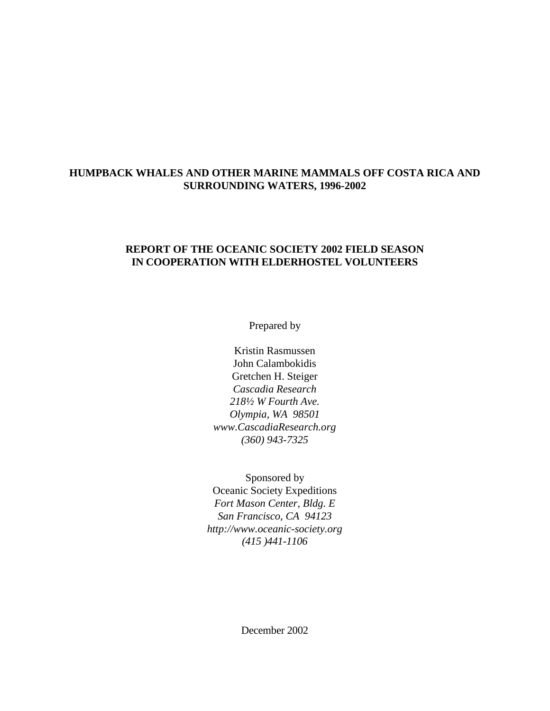# **HUMPBACK WHALES AND OTHER MARINE MAMMALS OFF COSTA RICA AND SURROUNDING WATERS, 1996-2002**

# **REPORT OF THE OCEANIC SOCIETY 2002 FIELD SEASON IN COOPERATION WITH ELDERHOSTEL VOLUNTEERS**

Prepared by

Kristin Rasmussen John Calambokidis Gretchen H. Steiger *Cascadia Research 218½ W Fourth Ave. Olympia, WA 98501 www.CascadiaResearch.org (360) 943-7325*

Sponsored by Oceanic Society Expeditions *Fort Mason Center, Bldg. E San Francisco, CA 94123 http://www.oceanic-society.org (415 )441-1106*

December 2002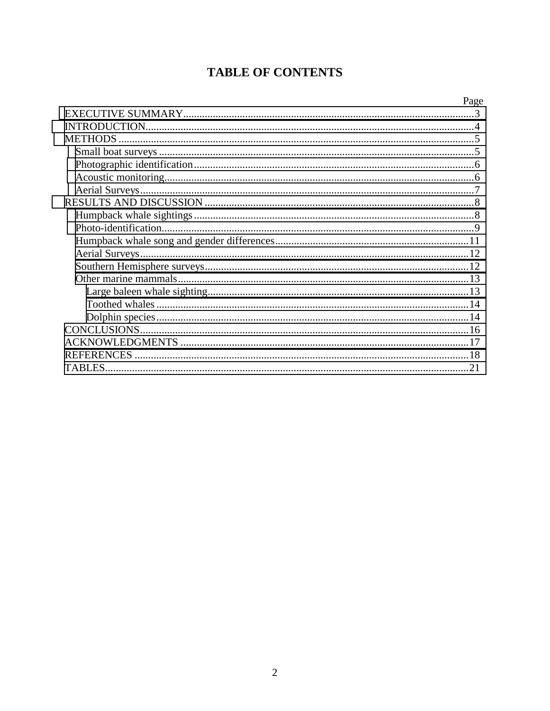# **TABLE OF CONTENTS**

|                | Page |
|----------------|------|
|                |      |
|                |      |
| <b>METHODS</b> |      |
|                |      |
|                |      |
|                |      |
|                |      |
|                |      |
|                |      |
|                |      |
|                |      |
|                |      |
|                |      |
|                |      |
|                |      |
|                |      |
|                |      |
|                |      |
|                |      |
|                |      |
| TABLES         |      |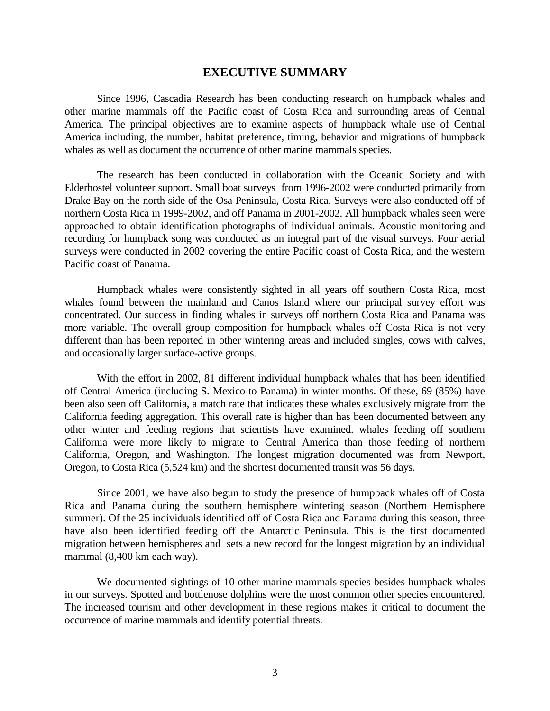## **EXECUTIVE SUMMARY**

<span id="page-2-0"></span> Since 1996, Cascadia Research has been conducting research on humpback whales and other marine mammals off the Pacific coast of Costa Rica and surrounding areas of Central America. The principal objectives are to examine aspects of humpback whale use of Central America including, the number, habitat preference, timing, behavior and migrations of humpback whales as well as document the occurrence of other marine mammals species.

 The research has been conducted in collaboration with the Oceanic Society and with Elderhostel volunteer support. Small boat surveys from 1996-2002 were conducted primarily from Drake Bay on the north side of the Osa Peninsula, Costa Rica. Surveys were also conducted off of northern Costa Rica in 1999-2002, and off Panama in 2001-2002. All humpback whales seen were approached to obtain identification photographs of individual animals. Acoustic monitoring and recording for humpback song was conducted as an integral part of the visual surveys. Four aerial surveys were conducted in 2002 covering the entire Pacific coast of Costa Rica, and the western Pacific coast of Panama.

 Humpback whales were consistently sighted in all years off southern Costa Rica, most whales found between the mainland and Canos Island where our principal survey effort was concentrated. Our success in finding whales in surveys off northern Costa Rica and Panama was more variable. The overall group composition for humpback whales off Costa Rica is not very different than has been reported in other wintering areas and included singles, cows with calves, and occasionally larger surface-active groups.

With the effort in 2002, 81 different individual humpback whales that has been identified off Central America (including S. Mexico to Panama) in winter months. Of these, 69 (85%) have been also seen off California, a match rate that indicates these whales exclusively migrate from the California feeding aggregation. This overall rate is higher than has been documented between any other winter and feeding regions that scientists have examined. whales feeding off southern California were more likely to migrate to Central America than those feeding of northern California, Oregon, and Washington. The longest migration documented was from Newport, Oregon, to Costa Rica (5,524 km) and the shortest documented transit was 56 days.

Since 2001, we have also begun to study the presence of humpback whales off of Costa Rica and Panama during the southern hemisphere wintering season (Northern Hemisphere summer). Of the 25 individuals identified off of Costa Rica and Panama during this season, three have also been identified feeding off the Antarctic Peninsula. This is the first documented migration between hemispheres and sets a new record for the longest migration by an individual mammal (8,400 km each way).

 We documented sightings of 10 other marine mammals species besides humpback whales in our surveys. Spotted and bottlenose dolphins were the most common other species encountered. The increased tourism and other development in these regions makes it critical to document the occurrence of marine mammals and identify potential threats.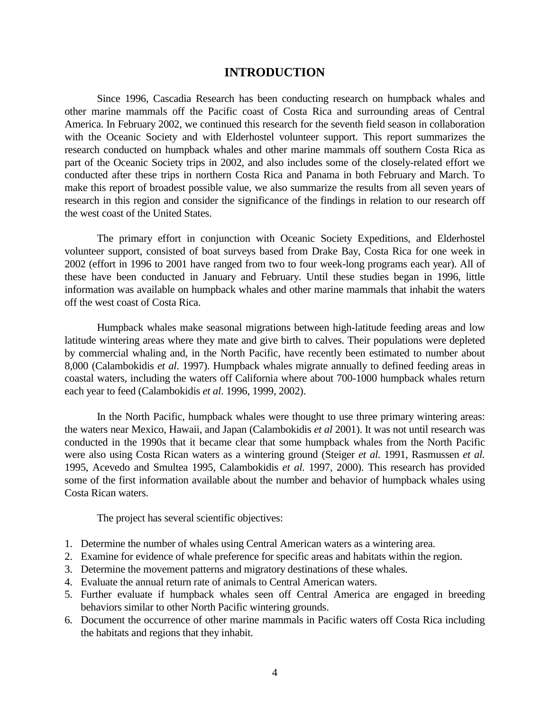# **INTRODUCTION**

<span id="page-3-0"></span> Since 1996, Cascadia Research has been conducting research on humpback whales and other marine mammals off the Pacific coast of Costa Rica and surrounding areas of Central America. In February 2002, we continued this research for the seventh field season in collaboration with the Oceanic Society and with Elderhostel volunteer support. This report summarizes the research conducted on humpback whales and other marine mammals off southern Costa Rica as part of the Oceanic Society trips in 2002, and also includes some of the closely-related effort we conducted after these trips in northern Costa Rica and Panama in both February and March. To make this report of broadest possible value, we also summarize the results from all seven years of research in this region and consider the significance of the findings in relation to our research off the west coast of the United States.

 The primary effort in conjunction with Oceanic Society Expeditions, and Elderhostel volunteer support, consisted of boat surveys based from Drake Bay, Costa Rica for one week in 2002 (effort in 1996 to 2001 have ranged from two to four week-long programs each year). All of these have been conducted in January and February. Until these studies began in 1996, little information was available on humpback whales and other marine mammals that inhabit the waters off the west coast of Costa Rica.

 Humpback whales make seasonal migrations between high-latitude feeding areas and low latitude wintering areas where they mate and give birth to calves. Their populations were depleted by commercial whaling and, in the North Pacific, have recently been estimated to number about 8,000 (Calambokidis *et al*. 1997). Humpback whales migrate annually to defined feeding areas in coastal waters, including the waters off California where about 700-1000 humpback whales return each year to feed (Calambokidis *et al*. 1996, 1999, 2002).

 In the North Pacific, humpback whales were thought to use three primary wintering areas: the waters near Mexico, Hawaii, and Japan (Calambokidis *et al* 2001). It was not until research was conducted in the 1990s that it became clear that some humpback whales from the North Pacific were also using Costa Rican waters as a wintering ground (Steiger *et al.* 1991, Rasmussen *et al.* 1995, Acevedo and Smultea 1995, Calambokidis *et al.* 1997, 2000). This research has provided some of the first information available about the number and behavior of humpback whales using Costa Rican waters.

The project has several scientific objectives:

- 1. Determine the number of whales using Central American waters as a wintering area.
- 2. Examine for evidence of whale preference for specific areas and habitats within the region.
- 3. Determine the movement patterns and migratory destinations of these whales.
- 4. Evaluate the annual return rate of animals to Central American waters.
- 5. Further evaluate if humpback whales seen off Central America are engaged in breeding behaviors similar to other North Pacific wintering grounds.
- 6. Document the occurrence of other marine mammals in Pacific waters off Costa Rica including the habitats and regions that they inhabit.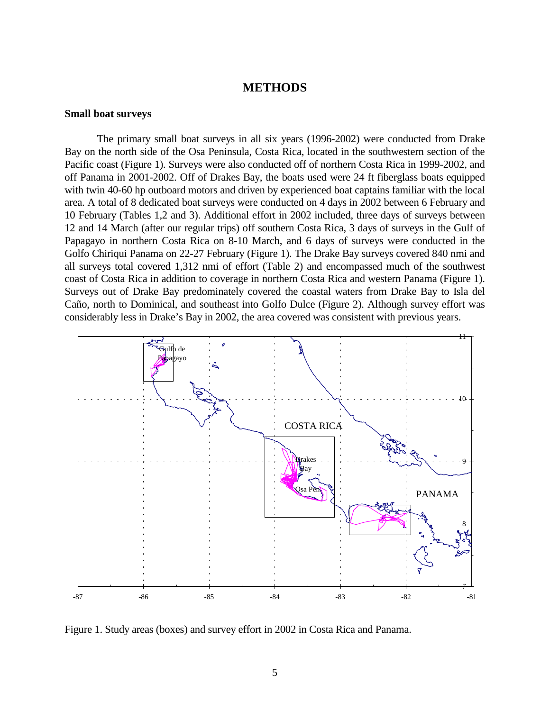### **METHODS**

#### <span id="page-4-0"></span>**Small boat surveys**

 The primary small boat surveys in all six years (1996-2002) were conducted from Drake Bay on the north side of the Osa Peninsula, Costa Rica, located in the southwestern section of the Pacific coast (Figure 1). Surveys were also conducted off of northern Costa Rica in 1999-2002, and off Panama in 2001-2002. Off of Drakes Bay, the boats used were 24 ft fiberglass boats equipped with twin 40-60 hp outboard motors and driven by experienced boat captains familiar with the local area. A total of 8 dedicated boat surveys were conducted on 4 days in 2002 between 6 February and 10 February (Tables 1,2 and 3). Additional effort in 2002 included, three days of surveys between 12 and 14 March (after our regular trips) off southern Costa Rica, 3 days of surveys in the Gulf of Papagayo in northern Costa Rica on 8-10 March, and 6 days of surveys were conducted in the Golfo Chiriqui Panama on 22-27 February (Figure 1). The Drake Bay surveys covered 840 nmi and all surveys total covered 1,312 nmi of effort (Table 2) and encompassed much of the southwest coast of Costa Rica in addition to coverage in northern Costa Rica and western Panama (Figure 1). Surveys out of Drake Bay predominately covered the coastal waters from Drake Bay to Isla del Caño, north to Dominical, and southeast into Golfo Dulce (Figure 2). Although survey effort was considerably less in Drake's Bay in 2002, the area covered was consistent with previous years.



Figure 1. Study areas (boxes) and survey effort in 2002 in Costa Rica and Panama.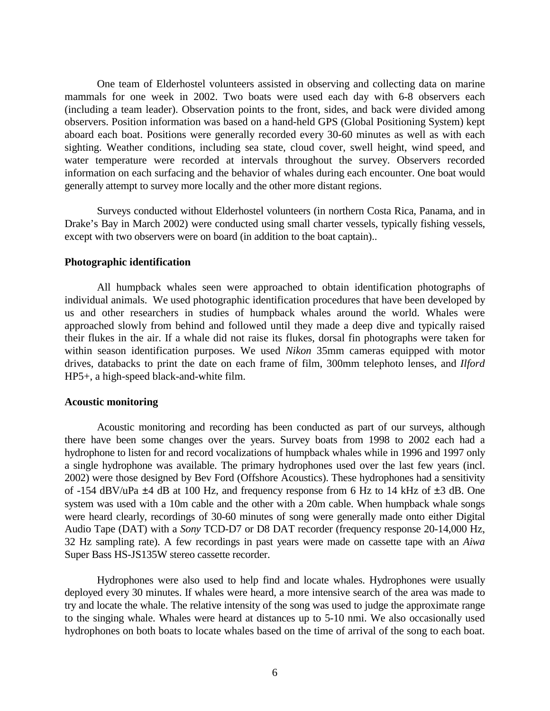<span id="page-5-0"></span> One team of Elderhostel volunteers assisted in observing and collecting data on marine mammals for one week in 2002. Two boats were used each day with 6-8 observers each (including a team leader). Observation points to the front, sides, and back were divided among observers. Position information was based on a hand-held GPS (Global Positioning System) kept aboard each boat. Positions were generally recorded every 30-60 minutes as well as with each sighting. Weather conditions, including sea state, cloud cover, swell height, wind speed, and water temperature were recorded at intervals throughout the survey. Observers recorded information on each surfacing and the behavior of whales during each encounter. One boat would generally attempt to survey more locally and the other more distant regions.

 Surveys conducted without Elderhostel volunteers (in northern Costa Rica, Panama, and in Drake's Bay in March 2002) were conducted using small charter vessels, typically fishing vessels, except with two observers were on board (in addition to the boat captain)..

#### **Photographic identification**

 All humpback whales seen were approached to obtain identification photographs of individual animals. We used photographic identification procedures that have been developed by us and other researchers in studies of humpback whales around the world. Whales were approached slowly from behind and followed until they made a deep dive and typically raised their flukes in the air. If a whale did not raise its flukes, dorsal fin photographs were taken for within season identification purposes. We used *Nikon* 35mm cameras equipped with motor drives, databacks to print the date on each frame of film, 300mm telephoto lenses, and *Ilford* HP5+, a high-speed black-and-white film.

#### **Acoustic monitoring**

 Acoustic monitoring and recording has been conducted as part of our surveys, although there have been some changes over the years. Survey boats from 1998 to 2002 each had a hydrophone to listen for and record vocalizations of humpback whales while in 1996 and 1997 only a single hydrophone was available. The primary hydrophones used over the last few years (incl. 2002) were those designed by Bev Ford (Offshore Acoustics). These hydrophones had a sensitivity of -154 dBV/uPa  $\pm$ 4 dB at 100 Hz, and frequency response from 6 Hz to 14 kHz of  $\pm$ 3 dB. One system was used with a 10m cable and the other with a 20m cable. When humpback whale songs were heard clearly, recordings of 30-60 minutes of song were generally made onto either Digital Audio Tape (DAT) with a *Sony* TCD-D7 or D8 DAT recorder (frequency response 20-14,000 Hz, 32 Hz sampling rate). A few recordings in past years were made on cassette tape with an *Aiwa* Super Bass HS-JS135W stereo cassette recorder.

 Hydrophones were also used to help find and locate whales. Hydrophones were usually deployed every 30 minutes. If whales were heard, a more intensive search of the area was made to try and locate the whale. The relative intensity of the song was used to judge the approximate range to the singing whale. Whales were heard at distances up to 5-10 nmi. We also occasionally used hydrophones on both boats to locate whales based on the time of arrival of the song to each boat.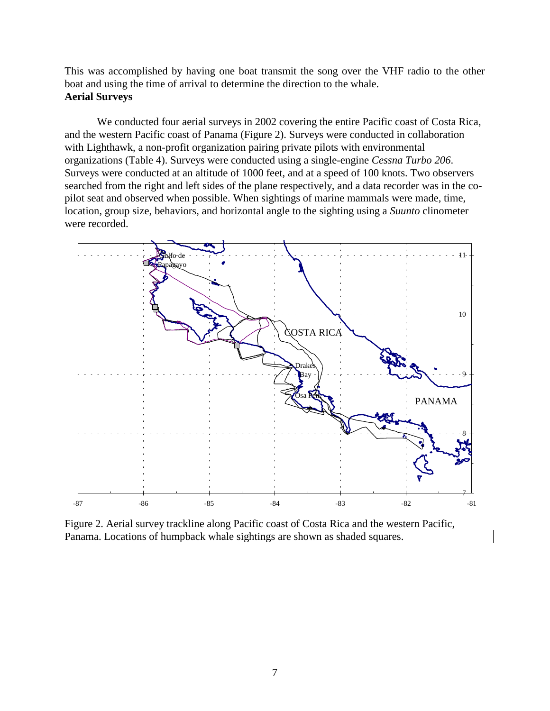<span id="page-6-0"></span>This was accomplished by having one boat transmit the song over the VHF radio to the other boat and using the time of arrival to determine the direction to the whale. **Aerial Surveys** 

 We conducted four aerial surveys in 2002 covering the entire Pacific coast of Costa Rica, and the western Pacific coast of Panama (Figure 2). Surveys were conducted in collaboration with Lighthawk, a non-profit organization pairing private pilots with environmental organizations (Table 4). Surveys were conducted using a single-engine *Cessna Turbo 206*. Surveys were conducted at an altitude of 1000 feet, and at a speed of 100 knots. Two observers searched from the right and left sides of the plane respectively, and a data recorder was in the copilot seat and observed when possible. When sightings of marine mammals were made, time, location, group size, behaviors, and horizontal angle to the sighting using a *Suunto* clinometer were recorded.



Figure 2. Aerial survey trackline along Pacific coast of Costa Rica and the western Pacific, Panama. Locations of humpback whale sightings are shown as shaded squares.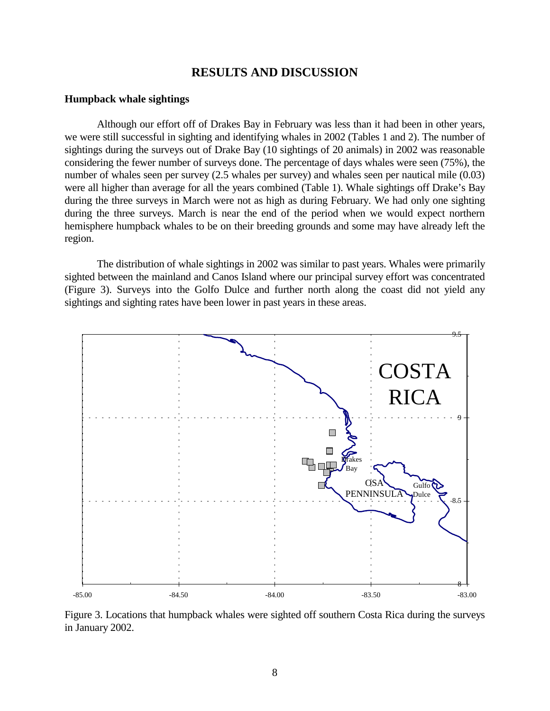# **RESULTS AND DISCUSSION**

#### <span id="page-7-0"></span>**Humpback whale sightings**

 Although our effort off of Drakes Bay in February was less than it had been in other years, we were still successful in sighting and identifying whales in 2002 (Tables 1 and 2). The number of sightings during the surveys out of Drake Bay (10 sightings of 20 animals) in 2002 was reasonable considering the fewer number of surveys done. The percentage of days whales were seen (75%), the number of whales seen per survey (2.5 whales per survey) and whales seen per nautical mile (0.03) were all higher than average for all the years combined (Table 1). Whale sightings off Drake's Bay during the three surveys in March were not as high as during February. We had only one sighting during the three surveys. March is near the end of the period when we would expect northern hemisphere humpback whales to be on their breeding grounds and some may have already left the region.

 The distribution of whale sightings in 2002 was similar to past years. Whales were primarily sighted between the mainland and Canos Island where our principal survey effort was concentrated (Figure 3). Surveys into the Golfo Dulce and further north along the coast did not yield any sightings and sighting rates have been lower in past years in these areas.



Figure 3. Locations that humpback whales were sighted off southern Costa Rica during the surveys in January 2002.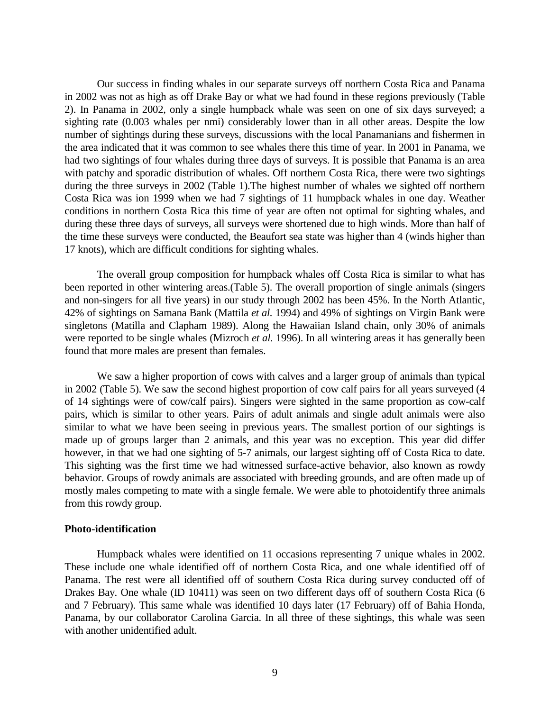<span id="page-8-0"></span> Our success in finding whales in our separate surveys off northern Costa Rica and Panama in 2002 was not as high as off Drake Bay or what we had found in these regions previously (Table 2). In Panama in 2002, only a single humpback whale was seen on one of six days surveyed; a sighting rate (0.003 whales per nmi) considerably lower than in all other areas. Despite the low number of sightings during these surveys, discussions with the local Panamanians and fishermen in the area indicated that it was common to see whales there this time of year. In 2001 in Panama, we had two sightings of four whales during three days of surveys. It is possible that Panama is an area with patchy and sporadic distribution of whales. Off northern Costa Rica, there were two sightings during the three surveys in 2002 (Table 1).The highest number of whales we sighted off northern Costa Rica was ion 1999 when we had 7 sightings of 11 humpback whales in one day. Weather conditions in northern Costa Rica this time of year are often not optimal for sighting whales, and during these three days of surveys, all surveys were shortened due to high winds. More than half of the time these surveys were conducted, the Beaufort sea state was higher than 4 (winds higher than 17 knots), which are difficult conditions for sighting whales.

 The overall group composition for humpback whales off Costa Rica is similar to what has been reported in other wintering areas.(Table 5). The overall proportion of single animals (singers and non-singers for all five years) in our study through 2002 has been 45%. In the North Atlantic, 42% of sightings on Samana Bank (Mattila *et al.* 1994) and 49% of sightings on Virgin Bank were singletons (Matilla and Clapham 1989). Along the Hawaiian Island chain, only 30% of animals were reported to be single whales (Mizroch *et al.* 1996). In all wintering areas it has generally been found that more males are present than females.

 We saw a higher proportion of cows with calves and a larger group of animals than typical in 2002 (Table 5). We saw the second highest proportion of cow calf pairs for all years surveyed (4 of 14 sightings were of cow/calf pairs). Singers were sighted in the same proportion as cow-calf pairs, which is similar to other years. Pairs of adult animals and single adult animals were also similar to what we have been seeing in previous years. The smallest portion of our sightings is made up of groups larger than 2 animals, and this year was no exception. This year did differ however, in that we had one sighting of 5-7 animals, our largest sighting off of Costa Rica to date. This sighting was the first time we had witnessed surface-active behavior, also known as rowdy behavior. Groups of rowdy animals are associated with breeding grounds, and are often made up of mostly males competing to mate with a single female. We were able to photoidentify three animals from this rowdy group.

#### **Photo-identification**

 Humpback whales were identified on 11 occasions representing 7 unique whales in 2002. These include one whale identified off of northern Costa Rica, and one whale identified off of Panama. The rest were all identified off of southern Costa Rica during survey conducted off of Drakes Bay. One whale (ID 10411) was seen on two different days off of southern Costa Rica (6 and 7 February). This same whale was identified 10 days later (17 February) off of Bahia Honda, Panama, by our collaborator Carolina Garcia. In all three of these sightings, this whale was seen with another unidentified adult.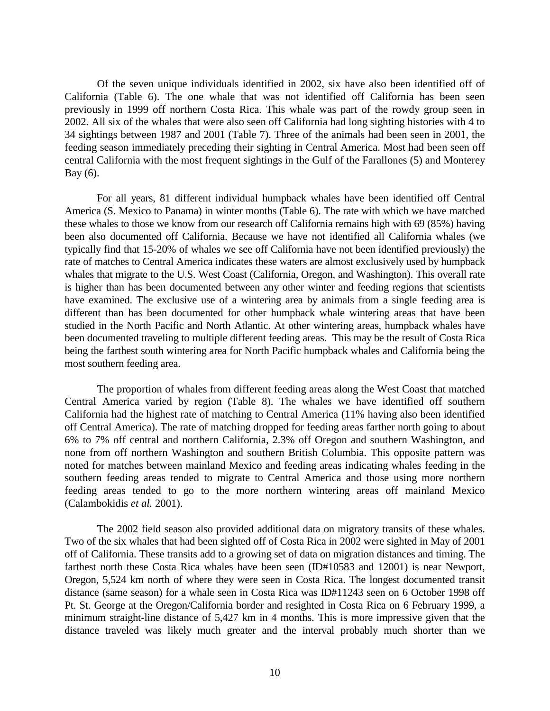Of the seven unique individuals identified in 2002, six have also been identified off of California (Table 6). The one whale that was not identified off California has been seen previously in 1999 off northern Costa Rica. This whale was part of the rowdy group seen in 2002. All six of the whales that were also seen off California had long sighting histories with 4 to 34 sightings between 1987 and 2001 (Table 7). Three of the animals had been seen in 2001, the feeding season immediately preceding their sighting in Central America. Most had been seen off central California with the most frequent sightings in the Gulf of the Farallones (5) and Monterey Bay (6).

 For all years, 81 different individual humpback whales have been identified off Central America (S. Mexico to Panama) in winter months (Table 6). The rate with which we have matched these whales to those we know from our research off California remains high with 69 (85%) having been also documented off California. Because we have not identified all California whales (we typically find that 15-20% of whales we see off California have not been identified previously) the rate of matches to Central America indicates these waters are almost exclusively used by humpback whales that migrate to the U.S. West Coast (California, Oregon, and Washington). This overall rate is higher than has been documented between any other winter and feeding regions that scientists have examined. The exclusive use of a wintering area by animals from a single feeding area is different than has been documented for other humpback whale wintering areas that have been studied in the North Pacific and North Atlantic. At other wintering areas, humpback whales have been documented traveling to multiple different feeding areas. This may be the result of Costa Rica being the farthest south wintering area for North Pacific humpback whales and California being the most southern feeding area.

 The proportion of whales from different feeding areas along the West Coast that matched Central America varied by region (Table 8). The whales we have identified off southern California had the highest rate of matching to Central America (11% having also been identified off Central America). The rate of matching dropped for feeding areas farther north going to about 6% to 7% off central and northern California, 2.3% off Oregon and southern Washington, and none from off northern Washington and southern British Columbia. This opposite pattern was noted for matches between mainland Mexico and feeding areas indicating whales feeding in the southern feeding areas tended to migrate to Central America and those using more northern feeding areas tended to go to the more northern wintering areas off mainland Mexico (Calambokidis *et al.* 2001).

 The 2002 field season also provided additional data on migratory transits of these whales. Two of the six whales that had been sighted off of Costa Rica in 2002 were sighted in May of 2001 off of California. These transits add to a growing set of data on migration distances and timing. The farthest north these Costa Rica whales have been seen (ID#10583 and 12001) is near Newport, Oregon, 5,524 km north of where they were seen in Costa Rica. The longest documented transit distance (same season) for a whale seen in Costa Rica was ID#11243 seen on 6 October 1998 off Pt. St. George at the Oregon/California border and resighted in Costa Rica on 6 February 1999, a minimum straight-line distance of 5,427 km in 4 months. This is more impressive given that the distance traveled was likely much greater and the interval probably much shorter than we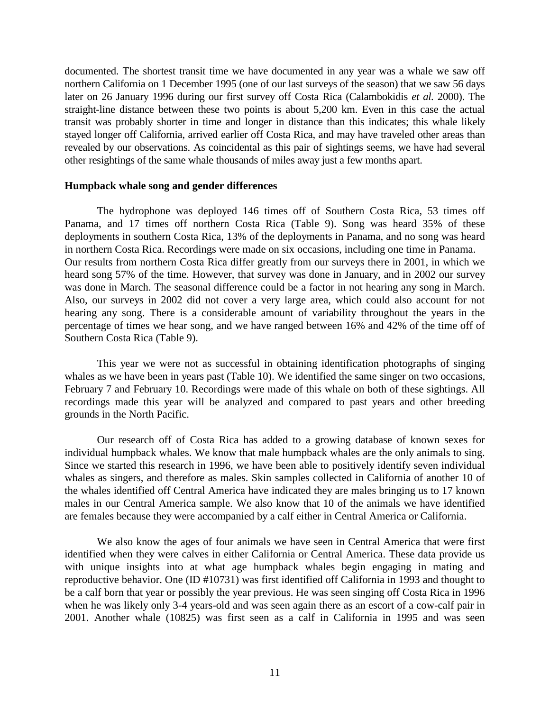<span id="page-10-0"></span>documented. The shortest transit time we have documented in any year was a whale we saw off northern California on 1 December 1995 (one of our last surveys of the season) that we saw 56 days later on 26 January 1996 during our first survey off Costa Rica (Calambokidis *et al.* 2000). The straight-line distance between these two points is about 5,200 km. Even in this case the actual transit was probably shorter in time and longer in distance than this indicates; this whale likely stayed longer off California, arrived earlier off Costa Rica, and may have traveled other areas than revealed by our observations. As coincidental as this pair of sightings seems, we have had several other resightings of the same whale thousands of miles away just a few months apart.

#### **Humpback whale song and gender differences**

The hydrophone was deployed 146 times off of Southern Costa Rica, 53 times off Panama, and 17 times off northern Costa Rica (Table 9). Song was heard 35% of these deployments in southern Costa Rica, 13% of the deployments in Panama, and no song was heard in northern Costa Rica. Recordings were made on six occasions, including one time in Panama. Our results from northern Costa Rica differ greatly from our surveys there in 2001, in which we heard song 57% of the time. However, that survey was done in January, and in 2002 our survey was done in March. The seasonal difference could be a factor in not hearing any song in March. Also, our surveys in 2002 did not cover a very large area, which could also account for not hearing any song. There is a considerable amount of variability throughout the years in the percentage of times we hear song, and we have ranged between 16% and 42% of the time off of Southern Costa Rica (Table 9).

 This year we were not as successful in obtaining identification photographs of singing whales as we have been in years past (Table 10). We identified the same singer on two occasions, February 7 and February 10. Recordings were made of this whale on both of these sightings. All recordings made this year will be analyzed and compared to past years and other breeding grounds in the North Pacific.

Our research off of Costa Rica has added to a growing database of known sexes for individual humpback whales. We know that male humpback whales are the only animals to sing. Since we started this research in 1996, we have been able to positively identify seven individual whales as singers, and therefore as males. Skin samples collected in California of another 10 of the whales identified off Central America have indicated they are males bringing us to 17 known males in our Central America sample. We also know that 10 of the animals we have identified are females because they were accompanied by a calf either in Central America or California.

We also know the ages of four animals we have seen in Central America that were first identified when they were calves in either California or Central America. These data provide us with unique insights into at what age humpback whales begin engaging in mating and reproductive behavior. One (ID #10731) was first identified off California in 1993 and thought to be a calf born that year or possibly the year previous. He was seen singing off Costa Rica in 1996 when he was likely only 3-4 years-old and was seen again there as an escort of a cow-calf pair in 2001. Another whale (10825) was first seen as a calf in California in 1995 and was seen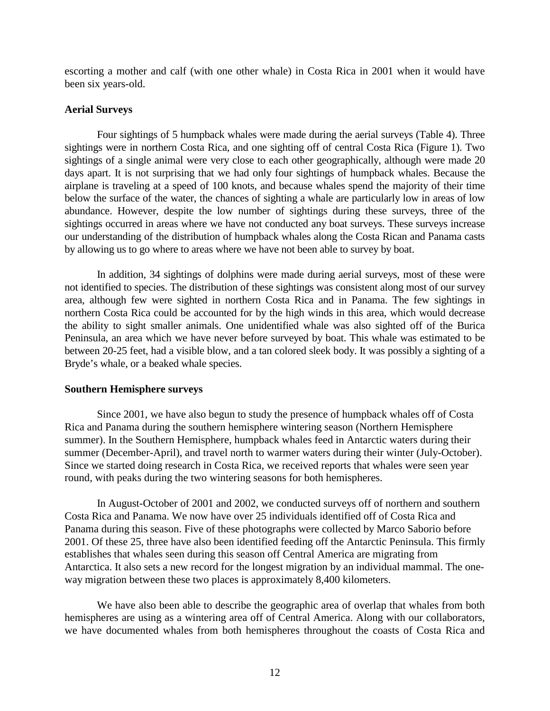<span id="page-11-0"></span>escorting a mother and calf (with one other whale) in Costa Rica in 2001 when it would have been six years-old.

#### **Aerial Surveys**

 Four sightings of 5 humpback whales were made during the aerial surveys (Table 4). Three sightings were in northern Costa Rica, and one sighting off of central Costa Rica (Figure 1). Two sightings of a single animal were very close to each other geographically, although were made 20 days apart. It is not surprising that we had only four sightings of humpback whales. Because the airplane is traveling at a speed of 100 knots, and because whales spend the majority of their time below the surface of the water, the chances of sighting a whale are particularly low in areas of low abundance. However, despite the low number of sightings during these surveys, three of the sightings occurred in areas where we have not conducted any boat surveys. These surveys increase our understanding of the distribution of humpback whales along the Costa Rican and Panama casts by allowing us to go where to areas where we have not been able to survey by boat.

 In addition, 34 sightings of dolphins were made during aerial surveys, most of these were not identified to species. The distribution of these sightings was consistent along most of our survey area, although few were sighted in northern Costa Rica and in Panama. The few sightings in northern Costa Rica could be accounted for by the high winds in this area, which would decrease the ability to sight smaller animals. One unidentified whale was also sighted off of the Burica Peninsula, an area which we have never before surveyed by boat. This whale was estimated to be between 20-25 feet, had a visible blow, and a tan colored sleek body. It was possibly a sighting of a Bryde's whale, or a beaked whale species.

#### **Southern Hemisphere surveys**

Since 2001, we have also begun to study the presence of humpback whales off of Costa Rica and Panama during the southern hemisphere wintering season (Northern Hemisphere summer). In the Southern Hemisphere, humpback whales feed in Antarctic waters during their summer (December-April), and travel north to warmer waters during their winter (July-October). Since we started doing research in Costa Rica, we received reports that whales were seen year round, with peaks during the two wintering seasons for both hemispheres.

In August-October of 2001 and 2002, we conducted surveys off of northern and southern Costa Rica and Panama. We now have over 25 individuals identified off of Costa Rica and Panama during this season. Five of these photographs were collected by Marco Saborio before 2001. Of these 25, three have also been identified feeding off the Antarctic Peninsula. This firmly establishes that whales seen during this season off Central America are migrating from Antarctica. It also sets a new record for the longest migration by an individual mammal. The oneway migration between these two places is approximately 8,400 kilometers.

We have also been able to describe the geographic area of overlap that whales from both hemispheres are using as a wintering area off of Central America. Along with our collaborators, we have documented whales from both hemispheres throughout the coasts of Costa Rica and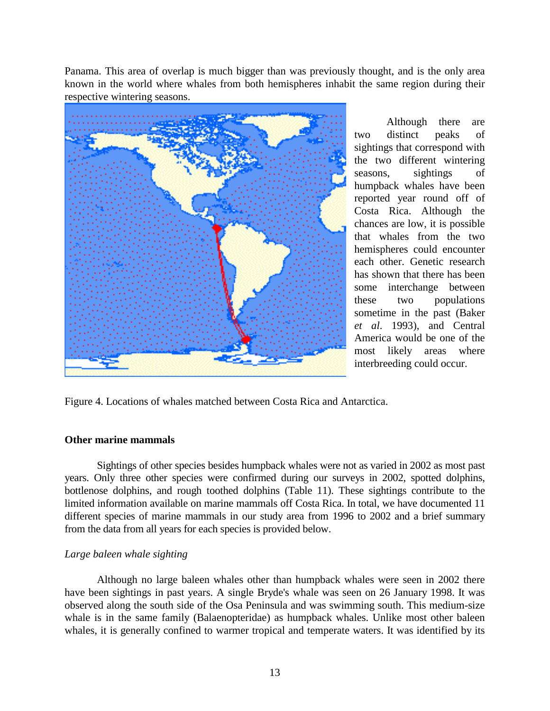<span id="page-12-0"></span>Panama. This area of overlap is much bigger than was previously thought, and is the only area known in the world where whales from both hemispheres inhabit the same region during their respective wintering seasons.



Although there are two distinct peaks of sightings that correspond with the two different wintering seasons, sightings of humpback whales have been reported year round off of Costa Rica. Although the chances are low, it is possible that whales from the two hemispheres could encounter each other. Genetic research has shown that there has been some interchange between these two populations sometime in the past (Baker *et al*. 1993), and Central America would be one of the most likely areas where interbreeding could occur.

Figure 4. Locations of whales matched between Costa Rica and Antarctica.

### **Other marine mammals**

 Sightings of other species besides humpback whales were not as varied in 2002 as most past years. Only three other species were confirmed during our surveys in 2002, spotted dolphins, bottlenose dolphins, and rough toothed dolphins (Table 11). These sightings contribute to the limited information available on marine mammals off Costa Rica. In total, we have documented 11 different species of marine mammals in our study area from 1996 to 2002 and a brief summary from the data from all years for each species is provided below.

# *Large baleen whale sighting*

 Although no large baleen whales other than humpback whales were seen in 2002 there have been sightings in past years. A single Bryde's whale was seen on 26 January 1998. It was observed along the south side of the Osa Peninsula and was swimming south. This medium-size whale is in the same family (Balaenopteridae) as humpback whales. Unlike most other baleen whales, it is generally confined to warmer tropical and temperate waters. It was identified by its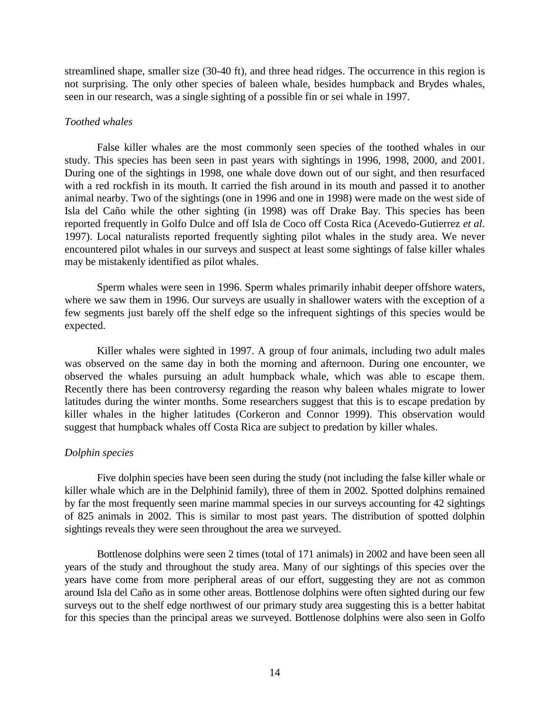<span id="page-13-0"></span>streamlined shape, smaller size (30-40 ft), and three head ridges. The occurrence in this region is not surprising. The only other species of baleen whale, besides humpback and Brydes whales, seen in our research, was a single sighting of a possible fin or sei whale in 1997.

#### *Toothed whales*

 False killer whales are the most commonly seen species of the toothed whales in our study. This species has been seen in past years with sightings in 1996, 1998, 2000, and 2001. During one of the sightings in 1998, one whale dove down out of our sight, and then resurfaced with a red rockfish in its mouth. It carried the fish around in its mouth and passed it to another animal nearby. Two of the sightings (one in 1996 and one in 1998) were made on the west side of Isla del Caño while the other sighting (in 1998) was off Drake Bay. This species has been reported frequently in Golfo Dulce and off Isla de Coco off Costa Rica (Acevedo-Gutierrez *et al.* 1997). Local naturalists reported frequently sighting pilot whales in the study area. We never encountered pilot whales in our surveys and suspect at least some sightings of false killer whales may be mistakenly identified as pilot whales.

 Sperm whales were seen in 1996. Sperm whales primarily inhabit deeper offshore waters, where we saw them in 1996. Our surveys are usually in shallower waters with the exception of a few segments just barely off the shelf edge so the infrequent sightings of this species would be expected.

Killer whales were sighted in 1997. A group of four animals, including two adult males was observed on the same day in both the morning and afternoon. During one encounter, we observed the whales pursuing an adult humpback whale, which was able to escape them. Recently there has been controversy regarding the reason why baleen whales migrate to lower latitudes during the winter months. Some researchers suggest that this is to escape predation by killer whales in the higher latitudes (Corkeron and Connor 1999). This observation would suggest that humpback whales off Costa Rica are subject to predation by killer whales.

#### *Dolphin species*

 Five dolphin species have been seen during the study (not including the false killer whale or killer whale which are in the Delphinid family), three of them in 2002. Spotted dolphins remained by far the most frequently seen marine mammal species in our surveys accounting for 42 sightings of 825 animals in 2002. This is similar to most past years. The distribution of spotted dolphin sightings reveals they were seen throughout the area we surveyed.

 Bottlenose dolphins were seen 2 times (total of 171 animals) in 2002 and have been seen all years of the study and throughout the study area. Many of our sightings of this species over the years have come from more peripheral areas of our effort, suggesting they are not as common around Isla del Caño as in some other areas. Bottlenose dolphins were often sighted during our few surveys out to the shelf edge northwest of our primary study area suggesting this is a better habitat for this species than the principal areas we surveyed. Bottlenose dolphins were also seen in Golfo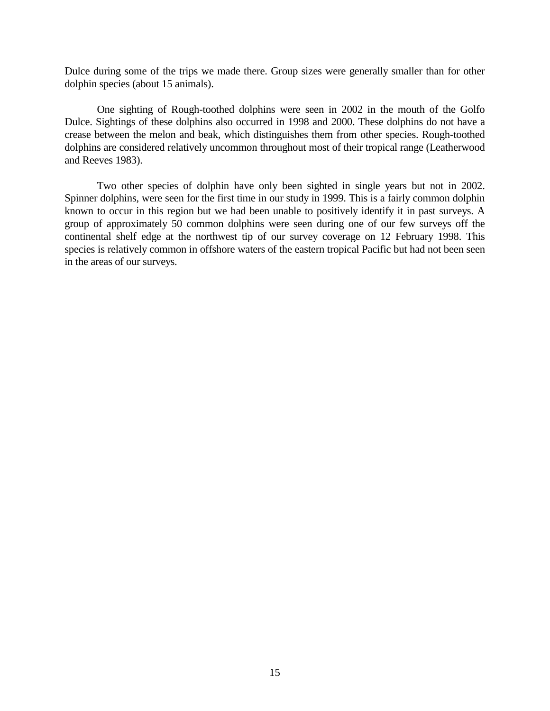Dulce during some of the trips we made there. Group sizes were generally smaller than for other dolphin species (about 15 animals).

 One sighting of Rough-toothed dolphins were seen in 2002 in the mouth of the Golfo Dulce. Sightings of these dolphins also occurred in 1998 and 2000. These dolphins do not have a crease between the melon and beak, which distinguishes them from other species. Rough-toothed dolphins are considered relatively uncommon throughout most of their tropical range (Leatherwood and Reeves 1983).

 Two other species of dolphin have only been sighted in single years but not in 2002. Spinner dolphins, were seen for the first time in our study in 1999. This is a fairly common dolphin known to occur in this region but we had been unable to positively identify it in past surveys. A group of approximately 50 common dolphins were seen during one of our few surveys off the continental shelf edge at the northwest tip of our survey coverage on 12 February 1998. This species is relatively common in offshore waters of the eastern tropical Pacific but had not been seen in the areas of our surveys.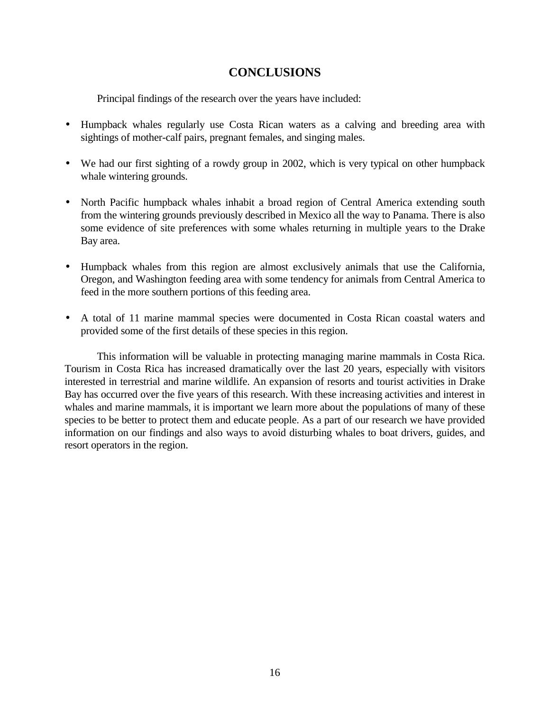# **CONCLUSIONS**

<span id="page-15-0"></span>Principal findings of the research over the years have included:

- Humpback whales regularly use Costa Rican waters as a calving and breeding area with sightings of mother-calf pairs, pregnant females, and singing males.
- We had our first sighting of a rowdy group in 2002, which is very typical on other humpback whale wintering grounds.
- North Pacific humpback whales inhabit a broad region of Central America extending south from the wintering grounds previously described in Mexico all the way to Panama. There is also some evidence of site preferences with some whales returning in multiple years to the Drake Bay area.
- Humpback whales from this region are almost exclusively animals that use the California, Oregon, and Washington feeding area with some tendency for animals from Central America to feed in the more southern portions of this feeding area.
- A total of 11 marine mammal species were documented in Costa Rican coastal waters and provided some of the first details of these species in this region.

 This information will be valuable in protecting managing marine mammals in Costa Rica. Tourism in Costa Rica has increased dramatically over the last 20 years, especially with visitors interested in terrestrial and marine wildlife. An expansion of resorts and tourist activities in Drake Bay has occurred over the five years of this research. With these increasing activities and interest in whales and marine mammals, it is important we learn more about the populations of many of these species to be better to protect them and educate people. As a part of our research we have provided information on our findings and also ways to avoid disturbing whales to boat drivers, guides, and resort operators in the region.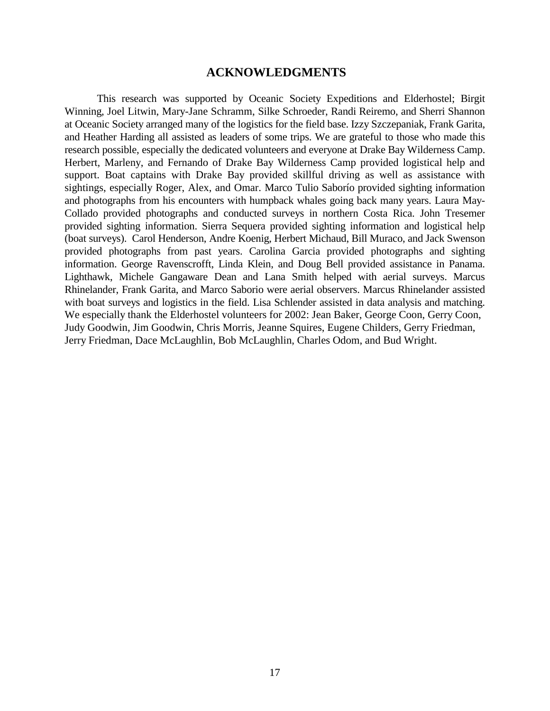### **ACKNOWLEDGMENTS**

<span id="page-16-0"></span> This research was supported by Oceanic Society Expeditions and Elderhostel; Birgit Winning, Joel Litwin, Mary-Jane Schramm, Silke Schroeder, Randi Reiremo, and Sherri Shannon at Oceanic Society arranged many of the logistics for the field base. Izzy Szczepaniak, Frank Garita, and Heather Harding all assisted as leaders of some trips. We are grateful to those who made this research possible, especially the dedicated volunteers and everyone at Drake Bay Wilderness Camp. Herbert, Marleny, and Fernando of Drake Bay Wilderness Camp provided logistical help and support. Boat captains with Drake Bay provided skillful driving as well as assistance with sightings, especially Roger, Alex, and Omar. Marco Tulio Saborío provided sighting information and photographs from his encounters with humpback whales going back many years. Laura May-Collado provided photographs and conducted surveys in northern Costa Rica. John Tresemer provided sighting information. Sierra Sequera provided sighting information and logistical help (boat surveys). Carol Henderson, Andre Koenig, Herbert Michaud, Bill Muraco, and Jack Swenson provided photographs from past years. Carolina Garcia provided photographs and sighting information. George Ravenscrofft, Linda Klein, and Doug Bell provided assistance in Panama. Lighthawk, Michele Gangaware Dean and Lana Smith helped with aerial surveys. Marcus Rhinelander, Frank Garita, and Marco Saborio were aerial observers. Marcus Rhinelander assisted with boat surveys and logistics in the field. Lisa Schlender assisted in data analysis and matching. We especially thank the Elderhostel volunteers for 2002: Jean Baker, George Coon, Gerry Coon, Judy Goodwin, Jim Goodwin, Chris Morris, Jeanne Squires, Eugene Childers, Gerry Friedman, Jerry Friedman, Dace McLaughlin, Bob McLaughlin, Charles Odom, and Bud Wright.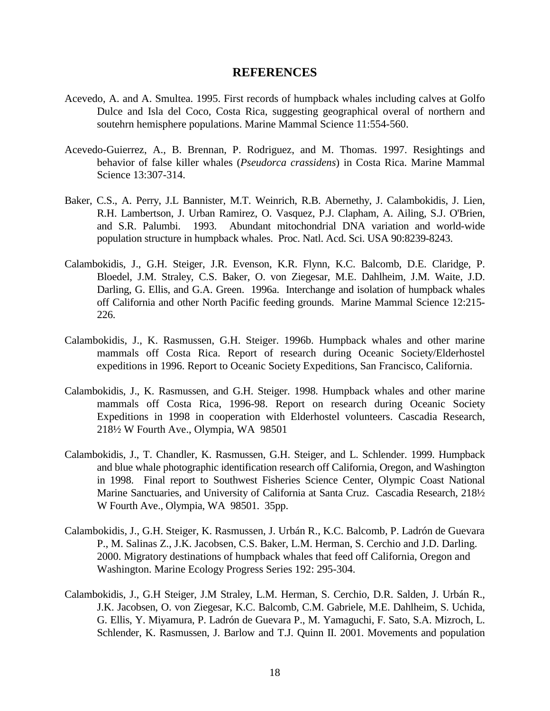### **REFERENCES**

- <span id="page-17-0"></span>Acevedo, A. and A. Smultea. 1995. First records of humpback whales including calves at Golfo Dulce and Isla del Coco, Costa Rica, suggesting geographical overal of northern and soutehrn hemisphere populations. Marine Mammal Science 11:554-560.
- Acevedo-Guierrez, A., B. Brennan, P. Rodriguez, and M. Thomas. 1997. Resightings and behavior of false killer whales (*Pseudorca crassidens*) in Costa Rica. Marine Mammal Science 13:307-314.
- Baker, C.S., A. Perry, J.L Bannister, M.T. Weinrich, R.B. Abernethy, J. Calambokidis, J. Lien, R.H. Lambertson, J. Urban Ramirez, O. Vasquez, P.J. Clapham, A. Ailing, S.J. O'Brien, and S.R. Palumbi. 1993. Abundant mitochondrial DNA variation and world-wide population structure in humpback whales. Proc. Natl. Acd. Sci. USA 90:8239-8243.
- Calambokidis, J., G.H. Steiger, J.R. Evenson, K.R. Flynn, K.C. Balcomb, D.E. Claridge, P. Bloedel, J.M. Straley, C.S. Baker, O. von Ziegesar, M.E. Dahlheim, J.M. Waite, J.D. Darling, G. Ellis, and G.A. Green. 1996a. Interchange and isolation of humpback whales off California and other North Pacific feeding grounds. Marine Mammal Science 12:215- 226.
- Calambokidis, J., K. Rasmussen, G.H. Steiger. 1996b. Humpback whales and other marine mammals off Costa Rica. Report of research during Oceanic Society/Elderhostel expeditions in 1996. Report to Oceanic Society Expeditions, San Francisco, California.
- Calambokidis, J., K. Rasmussen, and G.H. Steiger. 1998. Humpback whales and other marine mammals off Costa Rica, 1996-98. Report on research during Oceanic Society Expeditions in 1998 in cooperation with Elderhostel volunteers. Cascadia Research, 218½ W Fourth Ave., Olympia, WA 98501
- Calambokidis, J., T. Chandler, K. Rasmussen, G.H. Steiger, and L. Schlender. 1999. Humpback and blue whale photographic identification research off California, Oregon, and Washington in 1998. Final report to Southwest Fisheries Science Center, Olympic Coast National Marine Sanctuaries, and University of California at Santa Cruz. Cascadia Research, 218½ W Fourth Ave., Olympia, WA 98501. 35pp.
- Calambokidis, J., G.H. Steiger, K. Rasmussen, J. Urbán R., K.C. Balcomb, P. Ladrón de Guevara P., M. Salinas Z., J.K. Jacobsen, C.S. Baker, L.M. Herman, S. Cerchio and J.D. Darling. 2000. Migratory destinations of humpback whales that feed off California, Oregon and Washington. Marine Ecology Progress Series 192: 295-304.
- Calambokidis, J., G.H Steiger, J.M Straley, L.M. Herman, S. Cerchio, D.R. Salden, J. Urbán R., J.K. Jacobsen, O. von Ziegesar, K.C. Balcomb, C.M. Gabriele, M.E. Dahlheim, S. Uchida, G. Ellis, Y. Miyamura, P. Ladrón de Guevara P., M. Yamaguchi, F. Sato, S.A. Mizroch, L. Schlender, K. Rasmussen, J. Barlow and T.J. Quinn II. 2001. Movements and population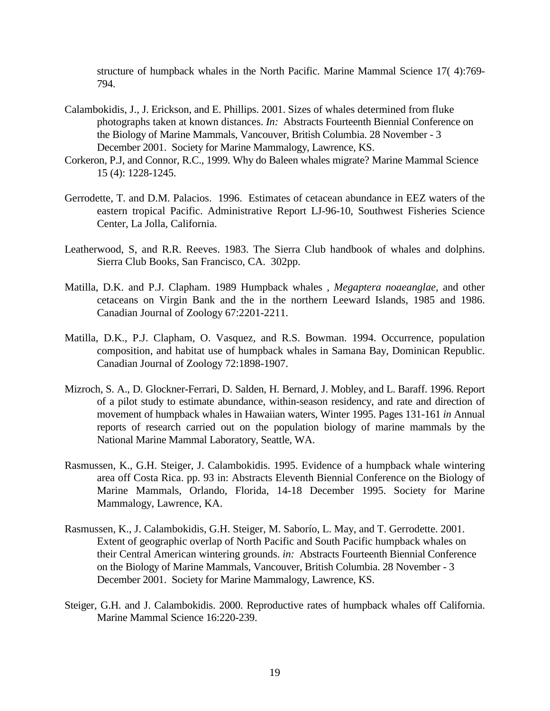structure of humpback whales in the North Pacific. Marine Mammal Science 17( 4):769- 794.

- Calambokidis, J., J. Erickson, and E. Phillips. 2001. Sizes of whales determined from fluke photographs taken at known distances. *In:* Abstracts Fourteenth Biennial Conference on the Biology of Marine Mammals, Vancouver, British Columbia. 28 November - 3 December 2001. Society for Marine Mammalogy, Lawrence, KS.
- Corkeron, P.J, and Connor, R.C., 1999. Why do Baleen whales migrate? Marine Mammal Science 15 (4): 1228-1245.
- Gerrodette, T. and D.M. Palacios. 1996. Estimates of cetacean abundance in EEZ waters of the eastern tropical Pacific. Administrative Report LJ-96-10, Southwest Fisheries Science Center, La Jolla, California.
- Leatherwood, S, and R.R. Reeves. 1983. The Sierra Club handbook of whales and dolphins. Sierra Club Books, San Francisco, CA. 302pp.
- Matilla, D.K. and P.J. Clapham. 1989 Humpback whales , *Megaptera noaeanglae*, and other cetaceans on Virgin Bank and the in the northern Leeward Islands, 1985 and 1986. Canadian Journal of Zoology 67:2201-2211.
- Matilla, D.K., P.J. Clapham, O. Vasquez, and R.S. Bowman. 1994. Occurrence, population composition, and habitat use of humpback whales in Samana Bay, Dominican Republic. Canadian Journal of Zoology 72:1898-1907.
- Mizroch, S. A., D. Glockner-Ferrari, D. Salden, H. Bernard, J. Mobley, and L. Baraff. 1996. Report of a pilot study to estimate abundance, within-season residency, and rate and direction of movement of humpback whales in Hawaiian waters, Winter 1995. Pages 131-161 *in* Annual reports of research carried out on the population biology of marine mammals by the National Marine Mammal Laboratory, Seattle, WA.
- Rasmussen, K., G.H. Steiger, J. Calambokidis. 1995. Evidence of a humpback whale wintering area off Costa Rica. pp. 93 in: Abstracts Eleventh Biennial Conference on the Biology of Marine Mammals, Orlando, Florida, 14-18 December 1995. Society for Marine Mammalogy, Lawrence, KA.
- Rasmussen, K., J. Calambokidis, G.H. Steiger, M. Saborío, L. May, and T. Gerrodette. 2001. Extent of geographic overlap of North Pacific and South Pacific humpback whales on their Central American wintering grounds. *in:* Abstracts Fourteenth Biennial Conference on the Biology of Marine Mammals, Vancouver, British Columbia. 28 November - 3 December 2001. Society for Marine Mammalogy, Lawrence, KS.
- Steiger, G.H. and J. Calambokidis. 2000. Reproductive rates of humpback whales off California. Marine Mammal Science 16:220-239.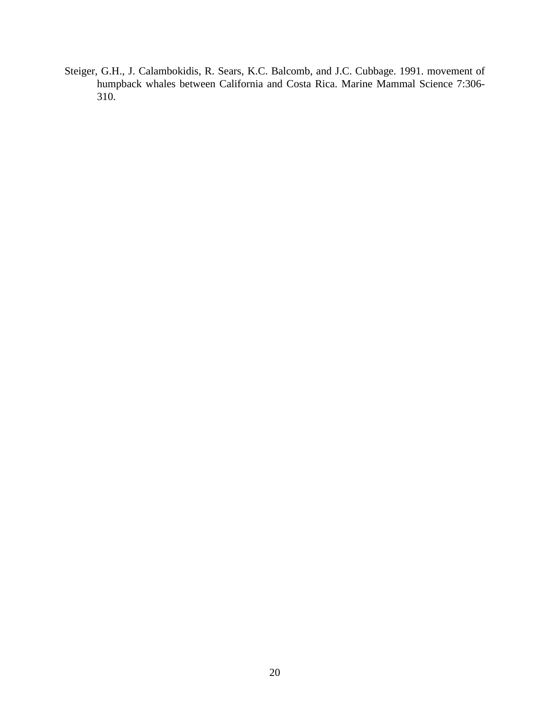Steiger, G.H., J. Calambokidis, R. Sears, K.C. Balcomb, and J.C. Cubbage. 1991. movement of humpback whales between California and Costa Rica. Marine Mammal Science 7:306- 310.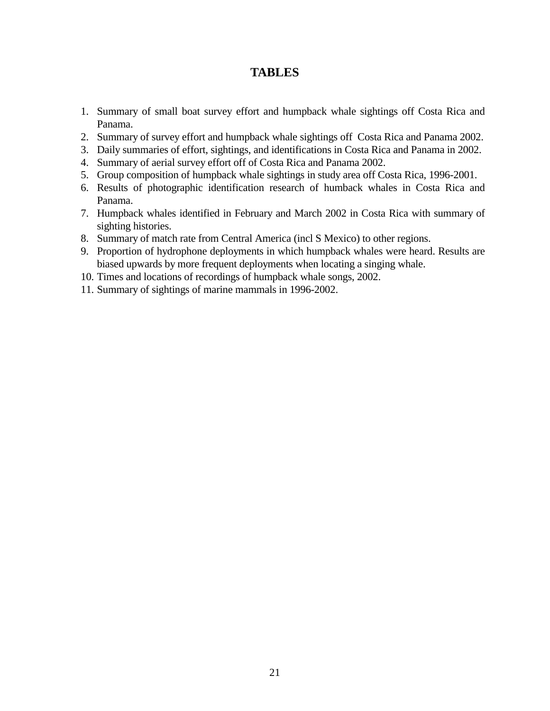# **TABLES**

- <span id="page-20-0"></span>1. Summary of small boat survey effort and humpback whale sightings off Costa Rica and Panama.
- 2. Summary of survey effort and humpback whale sightings off Costa Rica and Panama 2002.
- 3. Daily summaries of effort, sightings, and identifications in Costa Rica and Panama in 2002.
- 4. Summary of aerial survey effort off of Costa Rica and Panama 2002.
- 5. Group composition of humpback whale sightings in study area off Costa Rica, 1996-2001.
- 6. Results of photographic identification research of humback whales in Costa Rica and Panama.
- 7. Humpback whales identified in February and March 2002 in Costa Rica with summary of sighting histories.
- 8. Summary of match rate from Central America (incl S Mexico) to other regions.
- 9. Proportion of hydrophone deployments in which humpback whales were heard. Results are biased upwards by more frequent deployments when locating a singing whale.
- 10. Times and locations of recordings of humpback whale songs, 2002.
- 11. Summary of sightings of marine mammals in 1996-2002.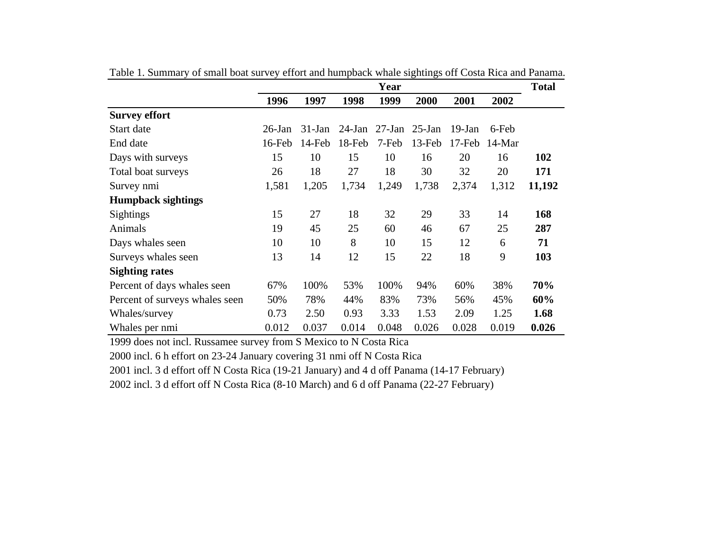|                                |           |           |           | Year     |           |           |          | <b>Total</b> |
|--------------------------------|-----------|-----------|-----------|----------|-----------|-----------|----------|--------------|
|                                | 1996      | 1997      | 1998      | 1999     | 2000      | 2001      | 2002     |              |
| <b>Survey effort</b>           |           |           |           |          |           |           |          |              |
| Start date                     | $26$ -Jan | $31$ -Jan | $24$ -Jan | $27-Ian$ | $25$ -Jan | 19-Jan    | 6-Feb    |              |
| End date                       | 16-Feb    | 14-Feb    | 18-Feb    | 7-Feb    | 13-Feb    | $17$ -Feb | $14-Mar$ |              |
| Days with surveys              | 15        | 10        | 15        | 10       | 16        | 20        | 16       | 102          |
| Total boat surveys             | 26        | 18        | 27        | 18       | 30        | 32        | 20       | 171          |
| Survey nmi                     | 1,581     | 1,205     | 1,734     | 1,249    | 1,738     | 2,374     | 1,312    | 11,192       |
| <b>Humpback sightings</b>      |           |           |           |          |           |           |          |              |
| <b>Sightings</b>               | 15        | 27        | 18        | 32       | 29        | 33        | 14       | 168          |
| Animals                        | 19        | 45        | 25        | 60       | 46        | 67        | 25       | 287          |
| Days whales seen               | 10        | 10        | 8         | 10       | 15        | 12        | 6        | 71           |
| Surveys whales seen            | 13        | 14        | 12        | 15       | 22        | 18        | 9        | 103          |
| <b>Sighting rates</b>          |           |           |           |          |           |           |          |              |
| Percent of days whales seen    | 67%       | 100%      | 53%       | 100%     | 94%       | 60%       | 38%      | 70%          |
| Percent of surveys whales seen | 50%       | 78%       | 44%       | 83%      | 73%       | 56%       | 45%      | 60%          |
| Whales/survey                  | 0.73      | 2.50      | 0.93      | 3.33     | 1.53      | 2.09      | 1.25     | 1.68         |
| Whales per nmi                 | 0.012     | 0.037     | 0.014     | 0.048    | 0.026     | 0.028     | 0.019    | 0.026        |

Table 1. Summary of small boat survey effort and humpback whale sightings off Costa Rica and Panama.

1999 does not incl. Russamee survey from S Mexico to N Costa Rica

2000 incl. 6 h effort on 23-24 January covering 31 nmi off N Costa Rica

2001 incl. 3 d effort off N Costa Rica (19-21 January) and 4 d off Panama (14-17 February)

2002 incl. 3 d effort off N Costa Rica (8-10 March) and 6 d off Panama (22-27 February)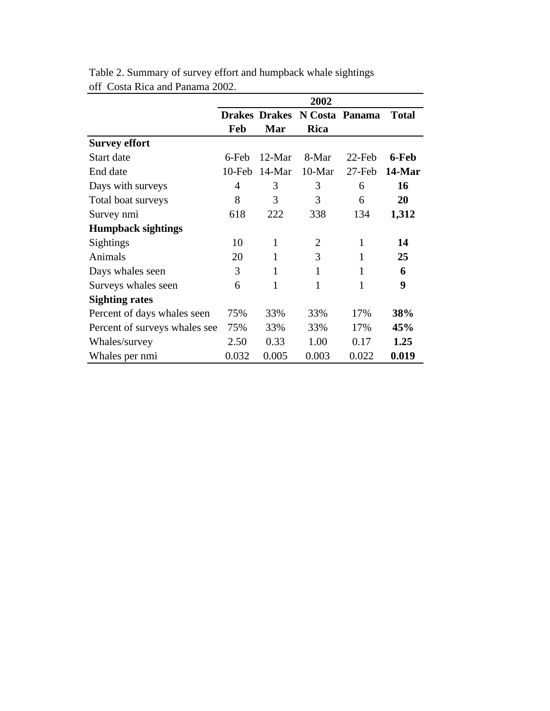|                               |           |          | 2002                         |           |              |
|-------------------------------|-----------|----------|------------------------------|-----------|--------------|
|                               |           |          | Drakes Drakes N Costa Panama |           | <b>Total</b> |
|                               | Feb       | Mar      | <b>Rica</b>                  |           |              |
| <b>Survey effort</b>          |           |          |                              |           |              |
| Start date                    | 6-Feb     | $12-Mar$ | 8-Mar                        | $22$ -Feb | 6-Feb        |
| End date                      | $10$ -Feb | $14-Mar$ | $10-Mar$                     | 27-Feb    | 14-Mar       |
| Days with surveys             | 4         | 3        | 3                            | 6         | 16           |
| Total boat surveys            | 8         | 3        | 3                            | 6         | 20           |
| Survey nmi                    | 618       | 222      | 338                          | 134       | 1,312        |
| <b>Humpback sightings</b>     |           |          |                              |           |              |
| Sightings                     | 10        | 1        | $\overline{2}$               | 1         | 14           |
| Animals                       | 20        | 1        | 3                            | 1         | 25           |
| Days whales seen              | 3         | 1        | 1                            | 1         | 6            |
| Surveys whales seen           | 6         | 1        | 1                            | 1         | 9            |
| <b>Sighting rates</b>         |           |          |                              |           |              |
| Percent of days whales seen   | 75%       | 33%      | 33%                          | 17%       | 38%          |
| Percent of surveys whales see | 75%       | 33%      | 33%                          | 17%       | 45%          |
| Whales/survey                 | 2.50      | 0.33     | 1.00                         | 0.17      | 1.25         |
| Whales per nmi                | 0.032     | 0.005    | 0.003                        | 0.022     | 0.019        |

Table 2. Summary of survey effort and humpback whale sightings off Costa Rica and Panama 2002.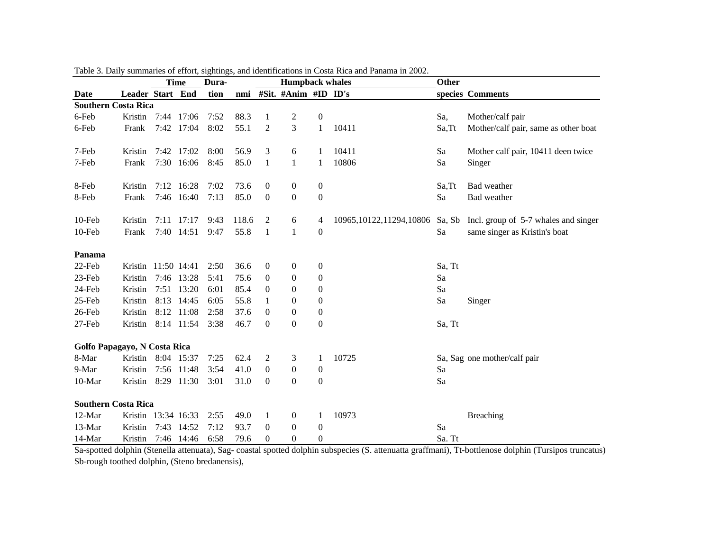|                              |                     |      | <b>Time</b> | Dura- |       |                  | <b>Humpback whales</b> |                  |                            | Other  |                                      |
|------------------------------|---------------------|------|-------------|-------|-------|------------------|------------------------|------------------|----------------------------|--------|--------------------------------------|
| Date                         | Leader Start End    |      |             | tion  | nmi   |                  | #Sit. #Anim #ID ID's   |                  |                            |        | species Comments                     |
| <b>Southern Costa Rica</b>   |                     |      |             |       |       |                  |                        |                  |                            |        |                                      |
| 6-Feb                        | Kristin             |      | 7:44 17:06  | 7:52  | 88.3  | $\mathbf{1}$     | $\overline{c}$         | $\boldsymbol{0}$ |                            | Sa,    | Mother/calf pair                     |
| 6-Feb                        | Frank               |      | 7:42 17:04  | 8:02  | 55.1  | $\overline{2}$   | 3                      | $\mathbf{1}$     | 10411                      | Sa, Tt | Mother/calf pair, same as other boat |
| 7-Feb                        | Kristin             |      | 7:42 17:02  | 8:00  | 56.9  | 3                | 6                      | 1                | 10411                      | Sa     | Mother calf pair, 10411 deen twice   |
| 7-Feb                        | Frank               |      | 7:30 16:06  | 8:45  | 85.0  | $\mathbf{1}$     | $\mathbf{1}$           | $\mathbf{1}$     | 10806                      | Sa     | Singer                               |
| 8-Feb                        | Kristin             |      | 7:12 16:28  | 7:02  | 73.6  | $\boldsymbol{0}$ | $\boldsymbol{0}$       | $\boldsymbol{0}$ |                            | Sa, Tt | Bad weather                          |
| 8-Feb                        | Frank               |      | 7:46 16:40  | 7:13  | 85.0  | $\theta$         | $\boldsymbol{0}$       | $\boldsymbol{0}$ |                            | Sa     | Bad weather                          |
| 10-Feb                       | Kristin             |      | 7:11 17:17  | 9:43  | 118.6 | 2                | 6                      | 4                | 10965, 10122, 11294, 10806 | Sa, Sb | Incl. group of 5-7 whales and singer |
| 10-Feb                       | Frank               |      | 7:40 14:51  | 9:47  | 55.8  | 1                | 1                      | $\boldsymbol{0}$ |                            | Sa     | same singer as Kristin's boat        |
| Panama                       |                     |      |             |       |       |                  |                        |                  |                            |        |                                      |
| 22-Feb                       | Kristin 11:50 14:41 |      |             | 2:50  | 36.6  | $\boldsymbol{0}$ | $\boldsymbol{0}$       | $\boldsymbol{0}$ |                            | Sa, Tt |                                      |
| 23-Feb                       | Kristin             |      | 7:46 13:28  | 5:41  | 75.6  | 0                | $\boldsymbol{0}$       | $\boldsymbol{0}$ |                            | Sa     |                                      |
| 24-Feb                       | Kristin             |      | 7:51 13:20  | 6:01  | 85.4  | $\boldsymbol{0}$ | $\overline{0}$         | $\boldsymbol{0}$ |                            | Sa     |                                      |
| 25-Feb                       | Kristin             | 8:13 | 14:45       | 6:05  | 55.8  | $\mathbf{1}$     | $\boldsymbol{0}$       | $\boldsymbol{0}$ |                            | Sa     | Singer                               |
| 26-Feb                       | Kristin             | 8:12 | 11:08       | 2:58  | 37.6  | $\boldsymbol{0}$ | $\boldsymbol{0}$       | $\boldsymbol{0}$ |                            |        |                                      |
| 27-Feb                       | Kristin             |      | 8:14 11:54  | 3:38  | 46.7  | $\theta$         | $\mathbf{0}$           | $\boldsymbol{0}$ |                            | Sa, Tt |                                      |
| Golfo Papagayo, N Costa Rica |                     |      |             |       |       |                  |                        |                  |                            |        |                                      |
| 8-Mar                        | Kristin 8:04 15:37  |      |             | 7:25  | 62.4  | 2                | 3                      | 1                | 10725                      |        | Sa, Sag one mother/calf pair         |
| 9-Mar                        | Kristin             |      | 7:56 11:48  | 3:54  | 41.0  | $\boldsymbol{0}$ | $\boldsymbol{0}$       | $\boldsymbol{0}$ |                            | Sa     |                                      |
| 10-Mar                       | Kristin             |      | 8:29 11:30  | 3:01  | 31.0  | $\Omega$         | $\overline{0}$         | $\boldsymbol{0}$ |                            | Sa     |                                      |
| <b>Southern Costa Rica</b>   |                     |      |             |       |       |                  |                        |                  |                            |        |                                      |
| 12-Mar                       | Kristin 13:34 16:33 |      |             | 2:55  | 49.0  | $\mathbf{1}$     | $\boldsymbol{0}$       | 1                | 10973                      |        | <b>Breaching</b>                     |
| 13-Mar                       | Kristin             |      | 7:43 14:52  | 7:12  | 93.7  | $\boldsymbol{0}$ | $\theta$               | $\boldsymbol{0}$ |                            | Sa     |                                      |
| 14-Mar                       | Kristin             |      | 7:46 14:46  | 6:58  | 79.6  | $\overline{0}$   | $\Omega$               | $\boldsymbol{0}$ |                            | Sa. Tt |                                      |

Table 3. Daily summaries of effort, sightings, and identifications in Costa Rica and Panama in 2002.

Sa-spotted dolphin (Stenella attenuata), Sag- coastal spotted dolphin subspecies (S. attenuatta graffmani), Tt-bottlenose dolphin (Tursipos truncatus) Sb-rough toothed dolphin, (Steno bredanensis),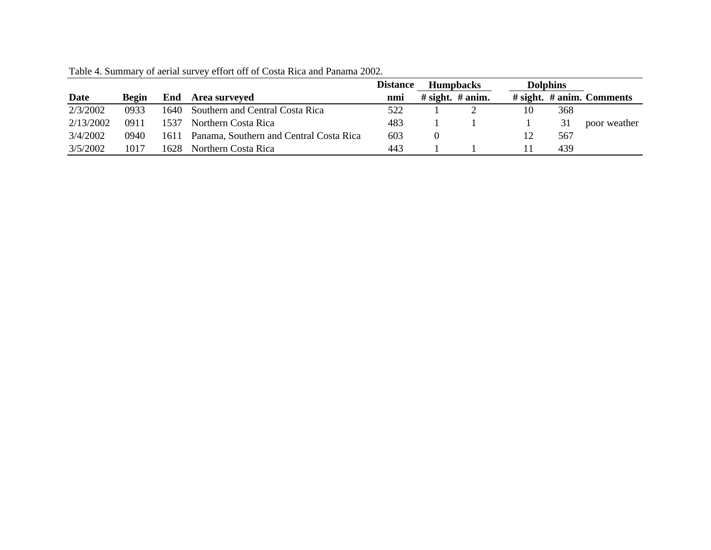|           |       |       |                                         | <b>Distance</b> | <b>Humpbacks</b>    |    | <b>Dolphins</b> |                                 |
|-----------|-------|-------|-----------------------------------------|-----------------|---------------------|----|-----------------|---------------------------------|
| Date      | Begin | End   | <b>Area surveyed</b>                    | nmi             | # sight. $\#$ anim. |    |                 | $\#$ sight. $\#$ anim. Comments |
| 2/3/2002  | 0933  | 1640- | Southern and Central Costa Rica         | 522             |                     | 10 | 368             |                                 |
| 2/13/2002 | 0911  | 1537  | Northern Costa Rica                     | 483             |                     |    | 31              | poor weather                    |
| 3/4/2002  | 0940  | 1611  | Panama, Southern and Central Costa Rica | 603             |                     |    | 567             |                                 |
| 3/5/2002  | 1017  | 1628. | Northern Costa Rica                     | 443             |                     |    | 439             |                                 |

Table 4. Summary of aerial survey effort off of Costa Rica and Panama 2002.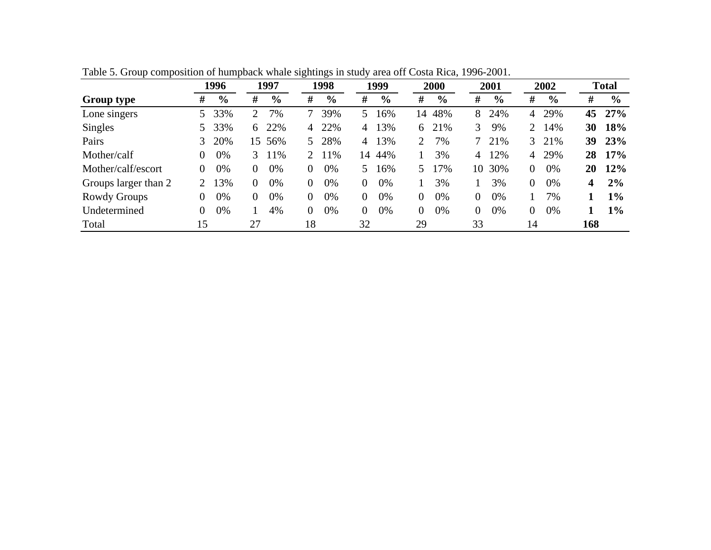|                      |    | 1996          |                | 1997          |                       | 1998          |          | 1999           |    | 2000          |        | 2001          |                | 2002          |     | <b>Total</b>  |
|----------------------|----|---------------|----------------|---------------|-----------------------|---------------|----------|----------------|----|---------------|--------|---------------|----------------|---------------|-----|---------------|
| <b>Group type</b>    | #  | $\frac{6}{9}$ | #              | $\frac{6}{9}$ | #                     | $\frac{6}{9}$ | #        | $\frac{6}{10}$ | #  | $\frac{6}{9}$ | #      | $\frac{0}{0}$ | #              | $\frac{6}{9}$ | #   | $\frac{6}{9}$ |
| Lone singers         | 5. | 33%           | $\overline{2}$ | 7%            |                       | 39%           | 5.       | 16%            | 14 | 48%           | 8      | 24%           | 4              | 29%           | 45  | 27%           |
| Singles              | 5. | 33%           | 6              | 22%           | 4                     | 22%           | 4        | 13%            | 6  | 21%           | 3      | 9%            | $\overline{2}$ | 14%           | 30  | 18%           |
| Pairs                | 3  | 20%           | 15             | 56%           | 5.                    | 28%           | 4        | 13%            | 2  | 7%            | $\tau$ | 21%           | 3              | 21%           | 39  | <b>23%</b>    |
| Mother/calf          | 0  | 0%            | $\mathcal{E}$  | 11%           | $\mathcal{D}_{\cdot}$ | 11%           | 14       | 44%            |    | 3%            | 4      | 12%           | 4              | 29%           | 28  | 17%           |
| Mother/calf/escort   | 0  | 0%            | $\Omega$       | 0%            | $\theta$              | 0%            | 5.       | 16%            | 5. | 17%           | 10     | 30%           | $\overline{0}$ | 0%            | 20  | 12%           |
| Groups larger than 2 |    | 13%           | $\Omega$       | 0%            | $\overline{0}$        | 0%            | $\theta$ | 0%             |    | 3%            |        | 3%            | $\overline{0}$ | 0%            | 4   | 2%            |
| Rowdy Groups         | 0  | 0%            | $\Omega$       | 0%            | $\Omega$              | 0%            | $\theta$ | 0%             | 0  | 0%            | 0      | 0%            |                | 7%            |     | $1\%$         |
| Undetermined         | 0  | 0%            |                | 4%            | $\Omega$              | 0%            | $\theta$ | 0%             | 0  | 0%            | 0      | 0%            | 0              | 0%            |     | $1\%$         |
| Total                | 15 |               | 27             |               | 18                    |               | 32       |                | 29 |               | 33     |               | 14             |               | 168 |               |

Table 5. Group composition of humpback whale sightings in study area off Costa Rica, 1996-2001.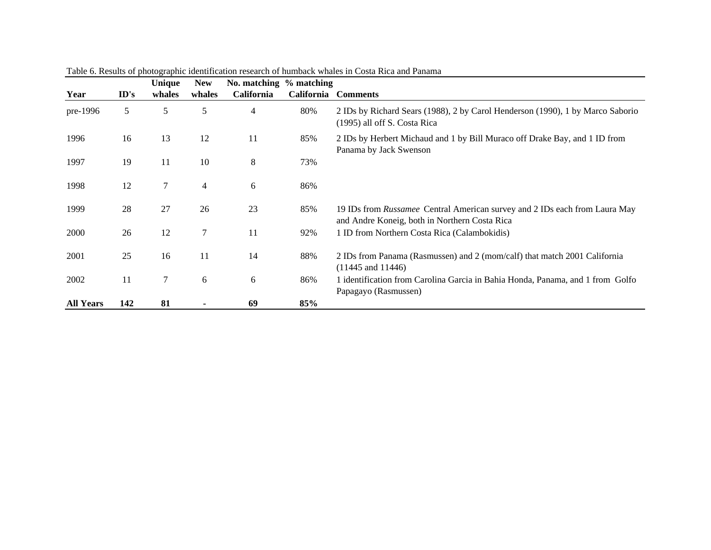|                  |      | Unique | <b>New</b> | No. matching % matching |            |                                                                                                                             |
|------------------|------|--------|------------|-------------------------|------------|-----------------------------------------------------------------------------------------------------------------------------|
| Year             | ID's | whales | whales     | <b>California</b>       | California | <b>Comments</b>                                                                                                             |
| pre-1996         | 5    | 5      | 5          | 4                       | 80%        | 2 IDs by Richard Sears (1988), 2 by Carol Henderson (1990), 1 by Marco Saborio<br>(1995) all off S. Costa Rica              |
| 1996             | 16   | 13     | 12         | 11                      | 85%        | 2 IDs by Herbert Michaud and 1 by Bill Muraco off Drake Bay, and 1 ID from<br>Panama by Jack Swenson                        |
| 1997             | 19   | 11     | 10         | $\,8\,$                 | 73%        |                                                                                                                             |
| 1998             | 12   | 7      | 4          | 6                       | 86%        |                                                                                                                             |
| 1999             | 28   | 27     | 26         | 23                      | 85%        | 19 IDs from Russamee Central American survey and 2 IDs each from Laura May<br>and Andre Koneig, both in Northern Costa Rica |
| 2000             | 26   | 12     | 7          | 11                      | 92%        | 1 ID from Northern Costa Rica (Calambokidis)                                                                                |
| 2001             | 25   | 16     | 11         | 14                      | 88%        | 2 IDs from Panama (Rasmussen) and 2 (mom/calf) that match 2001 California<br>$(11445$ and $11446)$                          |
| 2002             | 11   | 7      | 6          | 6                       | 86%        | 1 identification from Carolina Garcia in Bahia Honda, Panama, and 1 from Golfo<br>Papagayo (Rasmussen)                      |
| <b>All Years</b> | 142  | 81     |            | 69                      | 85%        |                                                                                                                             |

Table 6. Results of photographic identification research of humback whales in Costa Rica and Panama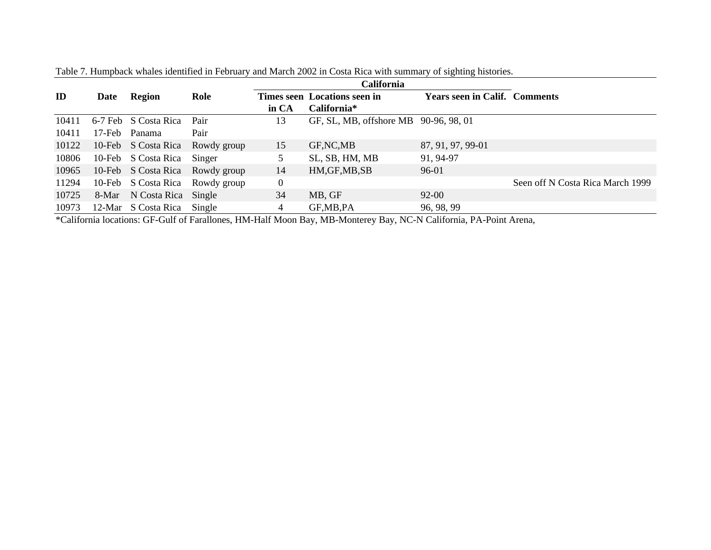|       |        |                      |                                 |       | California                            |                                      |                                  |
|-------|--------|----------------------|---------------------------------|-------|---------------------------------------|--------------------------------------|----------------------------------|
| ID    | Date   | Region               | Role                            |       | Times seen Locations seen in          | <b>Years seen in Calif. Comments</b> |                                  |
|       |        |                      |                                 | in CA | California*                           |                                      |                                  |
| 10411 |        | 6-7 Feb S Costa Rica | Pair                            | 13    | GF, SL, MB, offshore MB 90-96, 98, 01 |                                      |                                  |
| 10411 | 17-Feb | Panama               | Pair                            |       |                                       |                                      |                                  |
| 10122 |        | 10-Feb S Costa Rica  | Rowdy group                     | 15    | GF, NC, MB                            | 87, 91, 97, 99-01                    |                                  |
| 10806 |        | 10-Feb S Costa Rica  | Singer                          |       | SL, SB, HM, MB                        | 91, 94-97                            |                                  |
| 10965 |        |                      | 10-Feb S Costa Rica Rowdy group | 14    | HM, GF, MB, SB                        | 96-01                                |                                  |
| 11294 |        |                      | 10-Feb S Costa Rica Rowdy group | 0     |                                       |                                      | Seen off N Costa Rica March 1999 |
| 10725 | 8-Mar  | N Costa Rica Single  |                                 | 34    | MB, GF                                | 92-00                                |                                  |
| 10973 |        | 12-Mar S Costa Rica  | Single                          | 4     | GF, MB, PA                            | 96, 98, 99                           |                                  |

Table 7. Humpback whales identified in February and March 2002 in Costa Rica with summary of sighting histories.

\*California locations: GF-Gulf of Farallones, HM-Half Moon Bay, MB-Monterey Bay, NC-N California, PA-Point Arena,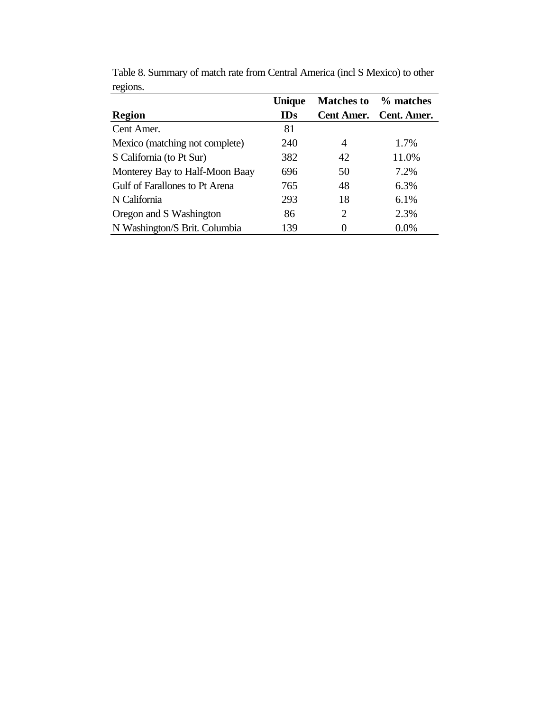|                                | <b>Unique</b> | <b>Matches to</b> | % matches              |
|--------------------------------|---------------|-------------------|------------------------|
| <b>Region</b>                  | <b>IDs</b>    |                   | Cent Amer. Cent. Amer. |
| Cent Amer.                     | 81            |                   |                        |
| Mexico (matching not complete) | 240           | 4                 | 1.7%                   |
| S California (to Pt Sur)       | 382           | 42                | 11.0%                  |
| Monterey Bay to Half-Moon Baay | 696           | 50                | 7.2%                   |
| Gulf of Farallones to Pt Arena | 765           | 48                | 6.3%                   |
| N California                   | 293           | 18                | 6.1%                   |
| Oregon and S Washington        | 86            | 2                 | 2.3%                   |
| N Washington/S Brit. Columbia  | 139           |                   | $0.0\%$                |

Table 8. Summary of match rate from Central America (incl S Mexico) to other regions.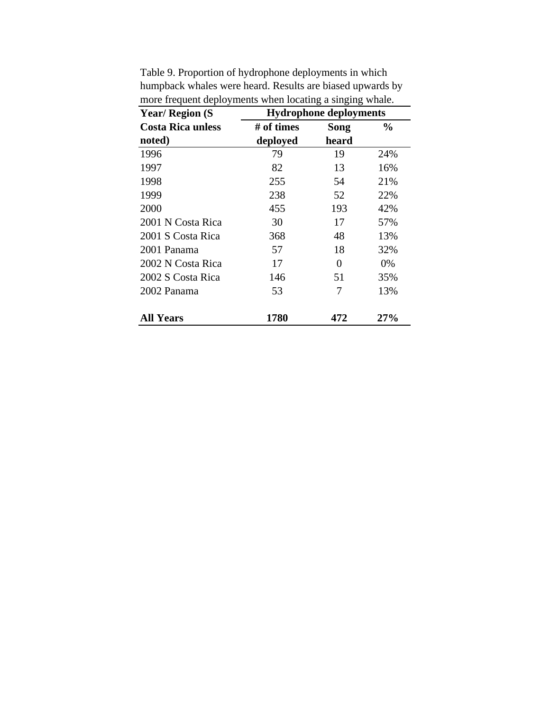| <b>Year/Region (S)</b>   |            | <b>Hydrophone deployments</b> |               |
|--------------------------|------------|-------------------------------|---------------|
| <b>Costa Rica unless</b> | # of times | Song                          | $\frac{0}{0}$ |
| noted)                   | deployed   | heard                         |               |
| 1996                     | 79         | 19                            | 24%           |
| 1997                     | 82         | 13                            | 16%           |
| 1998                     | 255        | 54                            | 21%           |
| 1999                     | 238        | 52                            | 22%           |
| 2000                     | 455        | 193                           | 42%           |
| 2001 N Costa Rica        | 30         | 17                            | 57%           |
| 2001 S Costa Rica        | 368        | 48                            | 13%           |
| 2001 Panama              | 57         | 18                            | 32%           |
| 2002 N Costa Rica        | 17         | $\theta$                      | 0%            |
| 2002 S Costa Rica        | 146        | 51                            | 35%           |
| 2002 Panama              | 53         | 7                             | 13%           |
| <b>All Years</b>         | 1780       | 472                           | 27%           |

Table 9. Proportion of hydrophone deployments in which humpback whales were heard. Results are biased upwards by more frequent deployments when locating a singing whale.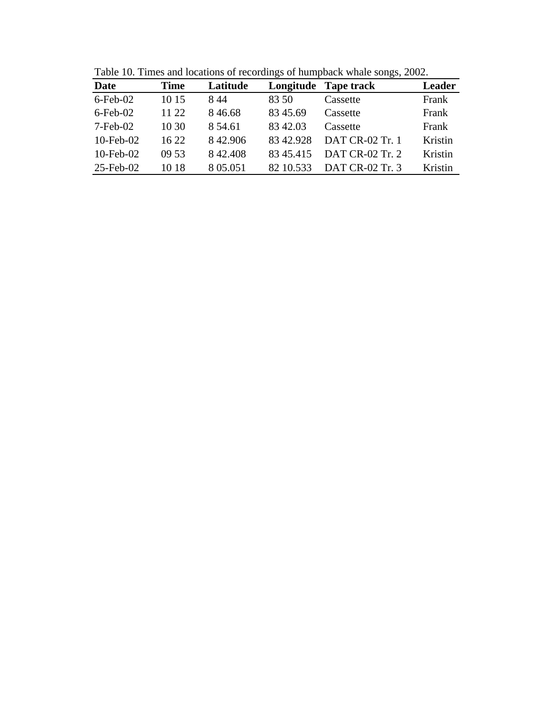| Date                  | <b>Time</b> | Latitude  | Longitude | <b>Tape track</b> | <b>Leader</b> |
|-----------------------|-------------|-----------|-----------|-------------------|---------------|
| $6$ -Feb-02           | 10 15       | 844       | 83.50     | Cassette          | Frank         |
| $6$ -Feb-02           | 11 22       | 8 4 6 6 8 | 83 45.69  | Cassette          | Frank         |
| $7 - \text{Feb} - 02$ | 10 30       | 8 54.61   | 83 42.03  | Cassette          | Frank         |
| $10$ -Feb- $02$       | 16 22       | 8 42.906  | 8342.928  | DAT CR-02 Tr. 1   | Kristin       |
| $10$ -Feb- $02$       | 09 53       | 8 42.408  | 8345.415  | DAT CR-02 Tr. 2   | Kristin       |
| $25$ -Feb-02          | 10 18       | 8 05.051  | 82 10.533 | DAT CR-02 Tr. 3   | Kristin       |

Table 10. Times and locations of recordings of humpback whale songs, 2002.